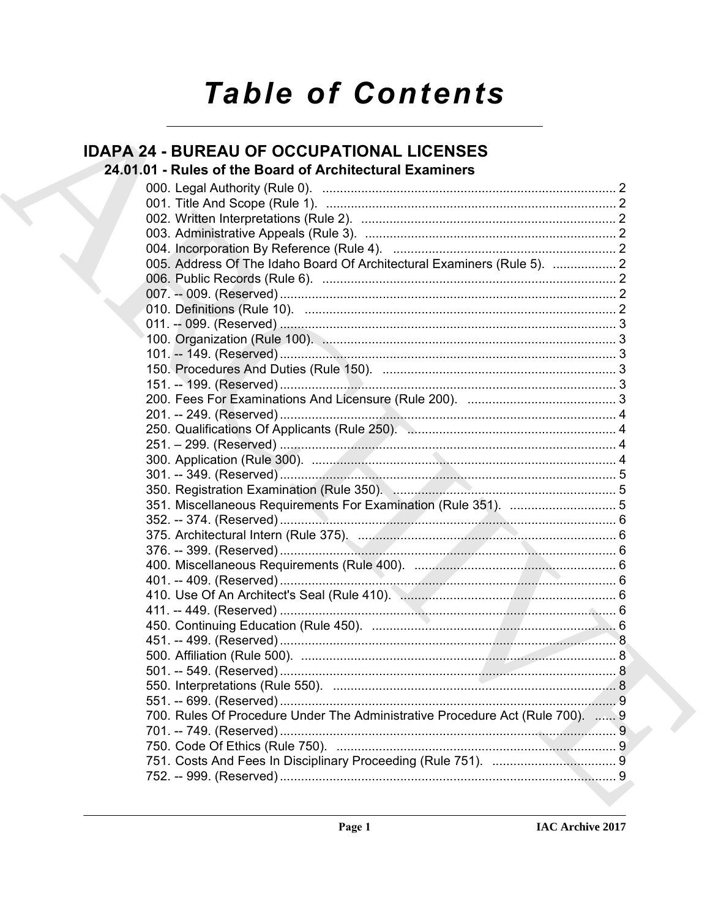# **Table of Contents**

| <b>IDAPA 24 - BUREAU OF OCCUPATIONAL LICENSES</b>                             |  |
|-------------------------------------------------------------------------------|--|
| 24.01.01 - Rules of the Board of Architectural Examiners                      |  |
|                                                                               |  |
|                                                                               |  |
|                                                                               |  |
|                                                                               |  |
|                                                                               |  |
| 005. Address Of The Idaho Board Of Architectural Examiners (Rule 5).  2       |  |
|                                                                               |  |
|                                                                               |  |
|                                                                               |  |
|                                                                               |  |
|                                                                               |  |
|                                                                               |  |
|                                                                               |  |
|                                                                               |  |
|                                                                               |  |
|                                                                               |  |
|                                                                               |  |
|                                                                               |  |
|                                                                               |  |
| 350. Registration Examination (Rule 350). Management and Communications 5     |  |
|                                                                               |  |
|                                                                               |  |
|                                                                               |  |
|                                                                               |  |
|                                                                               |  |
|                                                                               |  |
|                                                                               |  |
|                                                                               |  |
|                                                                               |  |
|                                                                               |  |
|                                                                               |  |
|                                                                               |  |
|                                                                               |  |
|                                                                               |  |
| 700. Rules Of Procedure Under The Administrative Procedure Act (Rule 700).  9 |  |
|                                                                               |  |
|                                                                               |  |
|                                                                               |  |
|                                                                               |  |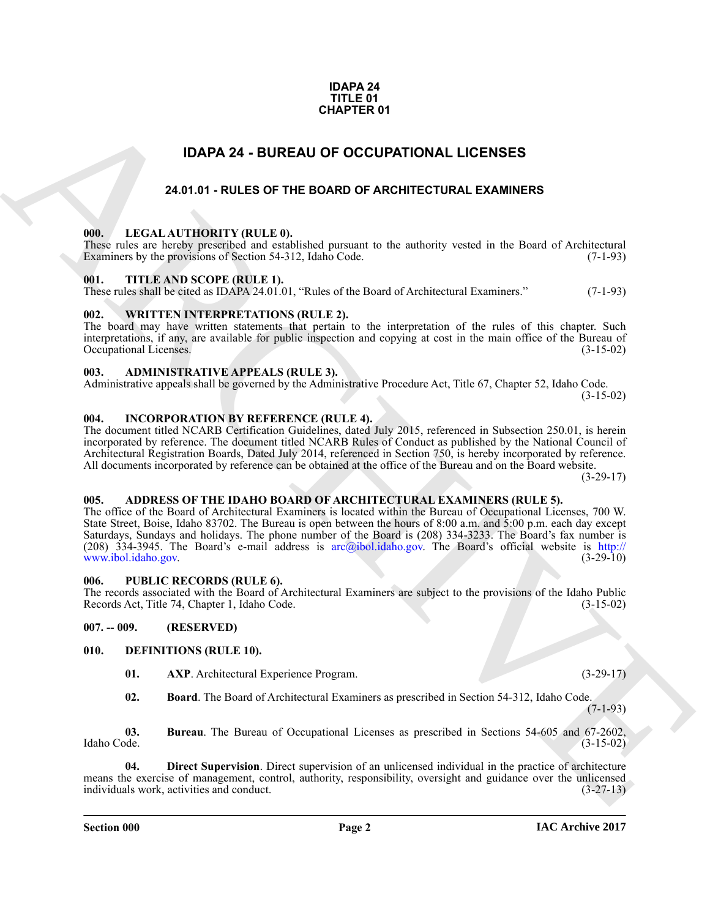#### **IDAPA 24 TITLE 01 CHAPTER 01**

## **IDAPA 24 - BUREAU OF OCCUPATIONAL LICENSES**

#### **24.01.01 - RULES OF THE BOARD OF ARCHITECTURAL EXAMINERS**

#### <span id="page-1-2"></span><span id="page-1-1"></span><span id="page-1-0"></span>**000. LEGAL AUTHORITY (RULE 0).**

These rules are hereby prescribed and established pursuant to the authority vested in the Board of Architectural Examiners by the provisions of Section 54-312, Idaho Code. (7-1-93) Examiners by the provisions of Section 54-312, Idaho Code.

#### <span id="page-1-3"></span>**001. TITLE AND SCOPE (RULE 1).**

These rules shall be cited as IDAPA 24.01.01, "Rules of the Board of Architectural Examiners." (7-1-93)

#### <span id="page-1-4"></span>**002. WRITTEN INTERPRETATIONS (RULE 2).**

The board may have written statements that pertain to the interpretation of the rules of this chapter. Such interpretations, if any, are available for public inspection and copying at cost in the main office of the Bureau of Occupational Licenses.

#### <span id="page-1-5"></span>**003. ADMINISTRATIVE APPEALS (RULE 3).**

Administrative appeals shall be governed by the Administrative Procedure Act, Title 67, Chapter 52, Idaho Code.  $(3-15-02)$ 

#### <span id="page-1-6"></span>**004. INCORPORATION BY REFERENCE (RULE 4).**

The document titled NCARB Certification Guidelines, dated July 2015, referenced in Subsection 250.01, is herein incorporated by reference. The document titled NCARB Rules of Conduct as published by the National Council of Architectural Registration Boards, Dated July 2014, referenced in Section 750, is hereby incorporated by reference. All documents incorporated by reference can be obtained at the office of the Bureau and on the Board website.  $(3-29-17)$ 

#### <span id="page-1-7"></span>**005. ADDRESS OF THE IDAHO BOARD OF ARCHITECTURAL EXAMINERS (RULE 5).**

**CHAPTER 01**<br> **CHAPTER 01**<br> **ARC[HI](mailto:arc@ibol.idaho.gov)[V](http://www.ibol.idaho.gov)E SCHIP COLUPATIONAL LICENSES**<br> **ARCHIVE SCHIP COLUPATIONAL LICENSES**<br> **ARCHIVE ARCHIVE SCHIP COLUPATION OF ARCHITECTURAL EXAMPLERS**<br> **CHAPTER CONSULTS (FOR A CHAPTER CARR CONSULTS)**<br> **C** The office of the Board of Architectural Examiners is located within the Bureau of Occupational Licenses, 700 W. State Street, Boise, Idaho 83702. The Bureau is open between the hours of 8:00 a.m. and 5:00 p.m. each day except Saturdays, Sundays and holidays. The phone number of the Board is (208) 334-3233. The Board's fax number is (208) 334-3945. The Board's e-mail address is arc@ibol.idaho.gov. The Board's official website is http:// www.ibol.idaho.gov.

#### <span id="page-1-8"></span>**006. PUBLIC RECORDS (RULE 6).**

The records associated with the Board of Architectural Examiners are subject to the provisions of the Idaho Public Records Act, Title 74, Chapter 1, Idaho Code. (3-15-02) Records Act, Title 74, Chapter 1, Idaho Code.

<span id="page-1-9"></span>**007. -- 009. (RESERVED)**

#### <span id="page-1-10"></span>**010. DEFINITIONS (RULE 10).**

- <span id="page-1-12"></span><span id="page-1-11"></span>**01. AXP**. Architectural Experience Program. (3-29-17)
- <span id="page-1-15"></span><span id="page-1-14"></span><span id="page-1-13"></span>**02. Board**. The Board of Architectural Examiners as prescribed in Section 54-312, Idaho Code.

(7-1-93)

**03.** Bureau. The Bureau of Occupational Licenses as prescribed in Sections 54-605 and 67-2602, Idaho Code. (3-15-02) Idaho Code. (3-15-02)

**04. Direct Supervision**. Direct supervision of an unlicensed individual in the practice of architecture means the exercise of management, control, authority, responsibility, oversight and guidance over the unlicensed individuals work, activities and conduct. (3-27-13) individuals work, activities and conduct.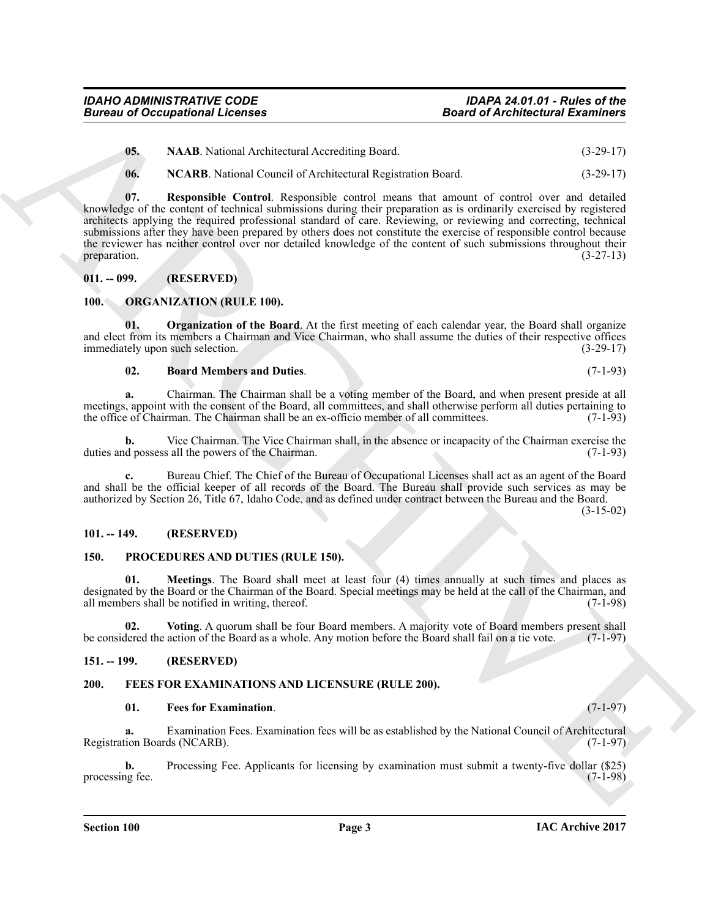<span id="page-2-7"></span><span id="page-2-6"></span>**05. NAAB**. National Architectural Accrediting Board. (3-29-17)

<span id="page-2-8"></span>**06. NCARB**. National Council of Architectural Registration Board. (3-29-17)

**Boost of Accidentary 10**<br>
US. NAAR best at Actionism and the Bost of Accidentary 2.<br>
US. NAAR best at Actionism and Securities the Columb 2.<br>
10. NAAR best at Counter Control Actionism and Securities the Columb 2.<br>
10. N **07. Responsible Control**. Responsible control means that amount of control over and detailed knowledge of the content of technical submissions during their preparation as is ordinarily exercised by registered architects applying the required professional standard of care. Reviewing, or reviewing and correcting, technical submissions after they have been prepared by others does not constitute the exercise of responsible control because the reviewer has neither control over nor detailed knowledge of the content of such submissions throughout their preparation.  $(3-27-13)$ 

#### <span id="page-2-0"></span>**011. -- 099. (RESERVED)**

#### <span id="page-2-11"></span><span id="page-2-1"></span>**100. ORGANIZATION (RULE 100).**

**01. Organization of the Board**. At the first meeting of each calendar year, the Board shall organize and elect from its members a Chairman and Vice Chairman, who shall assume the duties of their respective offices immediately upon such selection. (3-29-17)

#### <span id="page-2-13"></span><span id="page-2-12"></span>**02. Board Members and Duties**. (7-1-93)

**a.** Chairman. The Chairman shall be a voting member of the Board, and when present preside at all meetings, appoint with the consent of the Board, all committees, and shall otherwise perform all duties pertaining to the office of Chairman. The Chairman shall be an ex-officio member of all committees. (7-1-93)

**b.** Vice Chairman. The Vice Chairman shall, in the absence or incapacity of the Chairman exercise the d possess all the powers of the Chairman. (7-1-93) duties and possess all the powers of the Chairman.

**c.** Bureau Chief. The Chief of the Bureau of Occupational Licenses shall act as an agent of the Board and shall be the official keeper of all records of the Board. The Bureau shall provide such services as may be authorized by Section 26, Title 67, Idaho Code, and as defined under contract between the Bureau and the Board.

(3-15-02)

#### <span id="page-2-2"></span>**101. -- 149. (RESERVED)**

#### <span id="page-2-15"></span><span id="page-2-14"></span><span id="page-2-3"></span>**150. PROCEDURES AND DUTIES (RULE 150).**

**01. Meetings**. The Board shall meet at least four (4) times annually at such times and places as designated by the Board or the Chairman of the Board. Special meetings may be held at the call of the Chairman, and all members shall be notified in writing, thereof. (7-1-98) all members shall be notified in writing, thereof.

<span id="page-2-16"></span>**02.** Voting. A quorum shall be four Board members. A majority vote of Board members present shall level the action of the Board as a whole. Any motion before the Board shall fail on a tie vote. (7-1-97) be considered the action of the Board as a whole. Any motion before the Board shall fail on a tie vote.

#### <span id="page-2-4"></span>**151. -- 199. (RESERVED)**

#### <span id="page-2-5"></span>**200. FEES FOR EXAMINATIONS AND LICENSURE (RULE 200).**

#### <span id="page-2-10"></span><span id="page-2-9"></span>**01. Fees for Examination**. (7-1-97)

**a.** Examination Fees. Examination fees will be as established by the National Council of Architectural tion Boards (NCARB). (7-1-97) Registration Boards (NCARB).

**b.** Processing Fee. Applicants for licensing by examination must submit a twenty-five dollar (\$25) is fee. (7-1-98) processing fee.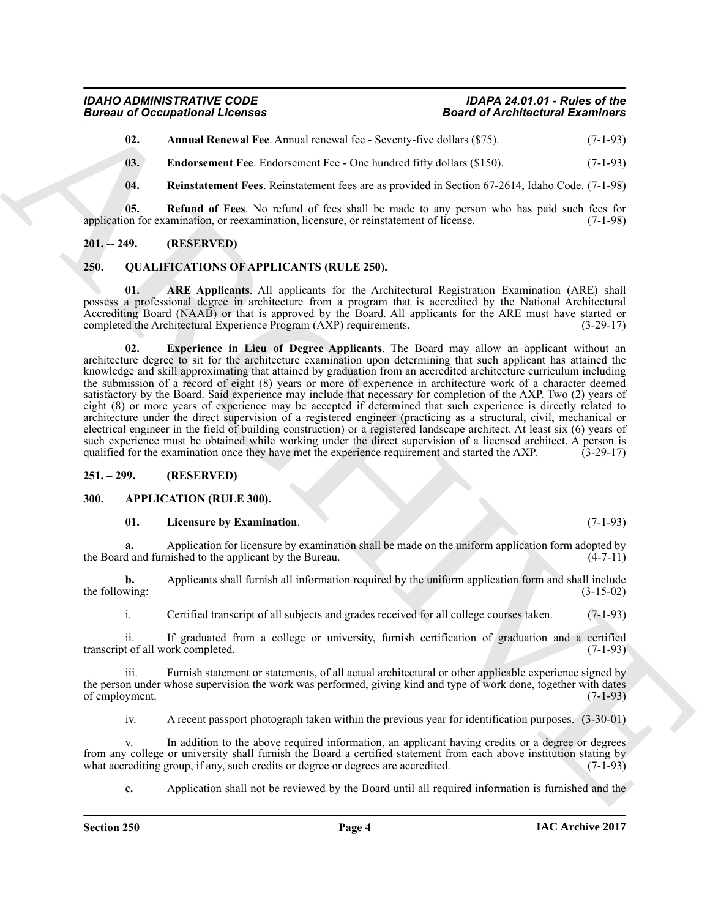<span id="page-3-7"></span><span id="page-3-6"></span>**02. Annual Renewal Fee**. Annual renewal fee - Seventy-five dollars (\$75). (7-1-93)

**03.** Endorsement Fee. Endorsement Fee - One hundred fifty dollars (\$150). (7-1-93)

<span id="page-3-9"></span><span id="page-3-8"></span>**04. Reinstatement Fees**. Reinstatement fees are as provided in Section 67-2614, Idaho Code. (7-1-98)

**05. Refund of Fees**. No refund of fees shall be made to any person who has paid such fees for application for examination, or reexamination, licensure, or reinstatement of license. (7-1-98)

#### <span id="page-3-0"></span>**201. -- 249. (RESERVED)**

#### <span id="page-3-10"></span><span id="page-3-1"></span>**250. QUALIFICATIONS OF APPLICANTS (RULE 250).**

<span id="page-3-12"></span><span id="page-3-11"></span>**01. ARE Applicants**. All applicants for the Architectural Registration Examination (ARE) shall possess a professional degree in architecture from a program that is accredited by the National Architectural Accrediting Board (NAAB) or that is approved by the Board. All applicants for the ARE must have started or completed the Architectural Experience Program (AXP) requirements. (3-29-17) completed the Architectural Experience Program (AXP) requirements.

Given to Occupiesian and Research Controllers (1.2 Security 16 and Architectural Example 18.<br>
10. Analogous FR Exhibition and Research (1.2 Security 16 and 18.75). (7.1-91)<br>
10. **Fadiusters are the between Free Schemer Fr 02. Experience in Lieu of Degree Applicants**. The Board may allow an applicant without an architecture degree to sit for the architecture examination upon determining that such applicant has attained the knowledge and skill approximating that attained by graduation from an accredited architecture curriculum including the submission of a record of eight (8) years or more of experience in architecture work of a character deemed satisfactory by the Board. Said experience may include that necessary for completion of the AXP. Two (2) years of eight (8) or more years of experience may be accepted if determined that such experience is directly related to architecture under the direct supervision of a registered engineer (practicing as a structural, civil, mechanical or electrical engineer in the field of building construction) or a registered landscape architect. At least six (6) years of such experience must be obtained while working under the direct supervision of a licensed architect. A person is qualified for the examination once they have met the experience requirement and started the AXP. (3-29-17)

#### <span id="page-3-2"></span>**251. – 299. (RESERVED)**

#### <span id="page-3-3"></span>**300. APPLICATION (RULE 300).**

#### <span id="page-3-5"></span><span id="page-3-4"></span>**01. Licensure by Examination**. (7-1-93)

**a.** Application for licensure by examination shall be made on the uniform application form adopted by d and furnished to the applicant by the Bureau. (4-7-11) the Board and furnished to the applicant by the Bureau.

**b.** Applicants shall furnish all information required by the uniform application form and shall include wing: (3-15-02) the following:

i. Certified transcript of all subjects and grades received for all college courses taken. (7-1-93)

ii. If graduated from a college or university, furnish certification of graduation and a certified transcript of all work completed.

iii. Furnish statement or statements, of all actual architectural or other applicable experience signed by the person under whose supervision the work was performed, giving kind and type of work done, together with dates of employment. (7-1-93) of employment.

iv. A recent passport photograph taken within the previous year for identification purposes. (3-30-01)

v. In addition to the above required information, an applicant having credits or a degree or degrees from any college or university shall furnish the Board a certified statement from each above institution stating by what accrediting group, if any, such credits or degree or degrees are accredited. (7-1-93) what accrediting group, if any, such credits or degree or degrees are accredited.

**c.** Application shall not be reviewed by the Board until all required information is furnished and the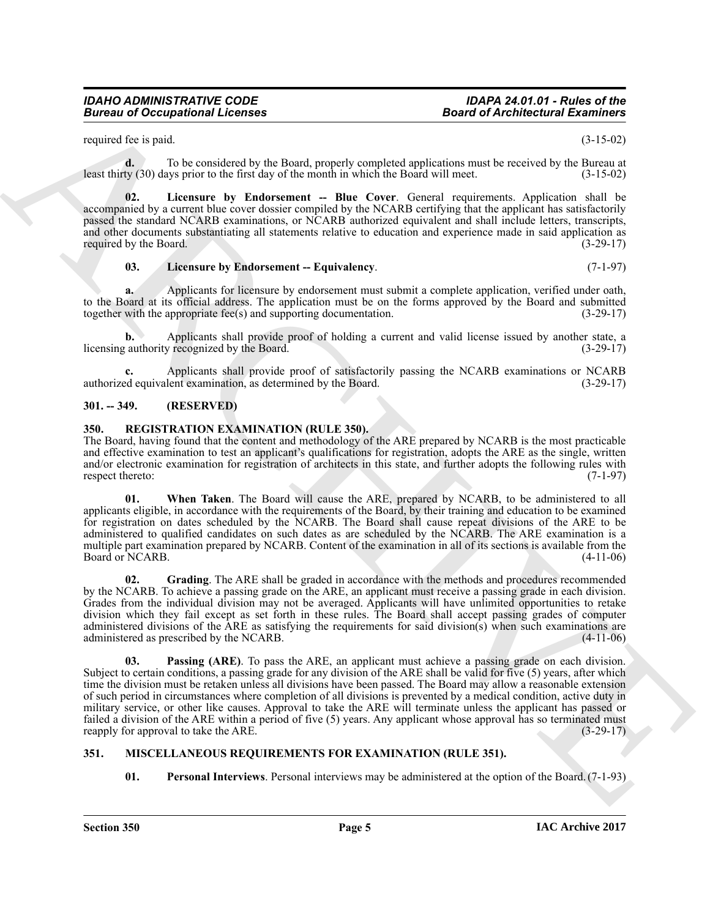## *Bureau of Occupational Licenses*

## *IDAHO ADMINISTRATIVE CODE IDAPA 24.01.01 - Rules of the*

required fee is paid. (3-15-02)

**d.** To be considered by the Board, properly completed applications must be received by the Bureau at least thirty (30) days prior to the first day of the month in which the Board will meet. (3-15-02)

<span id="page-4-3"></span>**02. Licensure by Endorsement -- Blue Cover**. General requirements. Application shall be accompanied by a current blue cover dossier compiled by the NCARB certifying that the applicant has satisfactorily passed the standard NCARB examinations, or NCARB authorized equivalent and shall include letters, transcripts, and other documents substantiating all statements relative to education and experience made in said application as required by the Board. (3-29-17)

#### <span id="page-4-4"></span>**03.** Licensure by Endorsement -- Equivalency. (7-1-97)

**a.** Applicants for licensure by endorsement must submit a complete application, verified under oath, to the Board at its official address. The application must be on the forms approved by the Board and submitted together with the appropriate fee(s) and supporting documentation. (3-29-17)

**b.** Applicants shall provide proof of holding a current and valid license issued by another state, a licensing authority recognized by the Board. (3-29-17)

Applicants shall provide proof of satisfactorily passing the NCARB examinations or NCARB lent examination, as determined by the Board. (3-29-17) authorized equivalent examination, as determined by the Board.

#### <span id="page-4-0"></span>**301. -- 349. (RESERVED)**

### <span id="page-4-7"></span><span id="page-4-1"></span>**350. REGISTRATION EXAMINATION (RULE 350).**

The Board, having found that the content and methodology of the ARE prepared by NCARB is the most practicable and effective examination to test an applicant's qualifications for registration, adopts the ARE as the single, written and/or electronic examination for registration of architects in this state, and further adopts the following rules with respect thereto: (7-1-97)

<span id="page-4-10"></span>**01. When Taken**. The Board will cause the ARE, prepared by NCARB, to be administered to all applicants eligible, in accordance with the requirements of the Board, by their training and education to be examined for registration on dates scheduled by the NCARB. The Board shall cause repeat divisions of the ARE to be administered to qualified candidates on such dates as are scheduled by the NCARB. The ARE examination is a multiple part examination prepared by NCARB. Content of the examination in all of its sections is available from the Board or NCARB. (4-11-06)

<span id="page-4-9"></span><span id="page-4-8"></span>**02. Grading**. The ARE shall be graded in accordance with the methods and procedures recommended by the NCARB. To achieve a passing grade on the ARE, an applicant must receive a passing grade in each division. Grades from the individual division may not be averaged. Applicants will have unlimited opportunities to retake division which they fail except as set forth in these rules. The Board shall accept passing grades of computer administered divisions of the ARE as satisfying the requirements for said division(s) when such examinations are administered as prescribed by the NCARB. administered as prescribed by the NCARB.

**Example 20 Compatibion 1.1 Contains and the state of Alechandre Example 2.**<br>
Significant and the space of the space of the space of the space of Alechandre Example 2.<br>
ARCHIVES 20 Compatibion 2.1 Contained a state of the **03. Passing (ARE)**. To pass the ARE, an applicant must achieve a passing grade on each division. Subject to certain conditions, a passing grade for any division of the ARE shall be valid for five (5) years, after which time the division must be retaken unless all divisions have been passed. The Board may allow a reasonable extension of such period in circumstances where completion of all divisions is prevented by a medical condition, active duty in military service, or other like causes. Approval to take the ARE will terminate unless the applicant has passed or failed a division of the ARE within a period of five (5) years. Any applicant whose approval has so terminated must reapply for approval to take the ARE. (3-29-17)

#### <span id="page-4-2"></span>**351. MISCELLANEOUS REQUIREMENTS FOR EXAMINATION (RULE 351).**

<span id="page-4-6"></span><span id="page-4-5"></span>**01. Personal Interviews**. Personal interviews may be administered at the option of the Board.(7-1-93)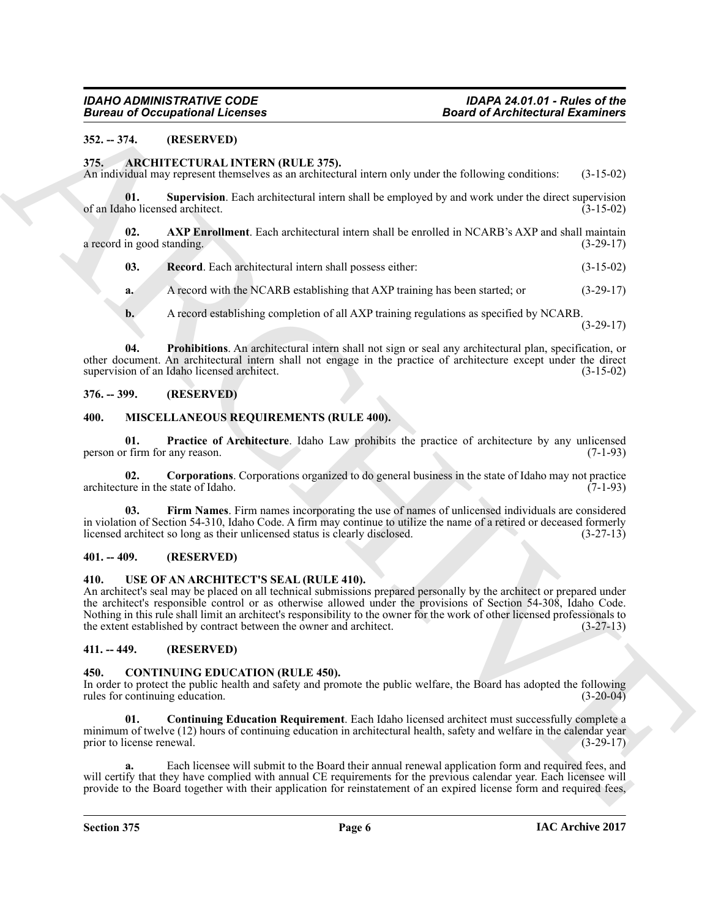#### <span id="page-5-0"></span>**352. -- 374. (RESERVED)**

#### <span id="page-5-8"></span><span id="page-5-1"></span>**375. ARCHITECTURAL INTERN (RULE 375).**

An individual may represent themselves as an architectural intern only under the following conditions: (3-15-02)

<span id="page-5-12"></span>**01. Supervision**. Each architectural intern shall be employed by and work under the direct supervision ho licensed architect. (3-15-02) of an Idaho licensed architect.

**02. AXP Enrollment**. Each architectural intern shall be enrolled in NCARB's AXP and shall maintain a record in good standing.  $(3-29-17)$ 

<span id="page-5-11"></span><span id="page-5-9"></span>**03.** Record. Each architectural intern shall possess either: (3-15-02)

**a.** A record with the NCARB establishing that AXP training has been started; or (3-29-17)

<span id="page-5-10"></span>**b.** A record establishing completion of all AXP training regulations as specified by NCARB.

(3-29-17)

**04. Prohibitions**. An architectural intern shall not sign or seal any architectural plan, specification, or other document. An architectural intern shall not engage in the practice of architecture except under the direct supervision of an Idaho licensed architect. (3-15-02) supervision of an Idaho licensed architect.

#### <span id="page-5-2"></span>**376. -- 399. (RESERVED)**

#### <span id="page-5-15"></span><span id="page-5-3"></span>**400. MISCELLANEOUS REQUIREMENTS (RULE 400).**

<span id="page-5-18"></span>**01. Practice of Architecture**. Idaho Law prohibits the practice of architecture by any unlicensed (7-1-93) person or firm for any reason.

<span id="page-5-16"></span>**02. Corporations**. Corporations organized to do general business in the state of Idaho may not practice ure in the state of Idaho. (7-1-93) architecture in the state of Idaho.

<span id="page-5-17"></span>Firm Names. Firm names incorporating the use of names of unlicensed individuals are considered in violation of Section 54-310, Idaho Code. A firm may continue to utilize the name of a retired or deceased formerly licensed architect so long as their unlicensed status is clearly disclosed.  $(3-27-13)$ licensed architect so long as their unlicensed status is clearly disclosed.

#### <span id="page-5-4"></span>**401. -- 409. (RESERVED)**

#### <span id="page-5-19"></span><span id="page-5-5"></span>**410. USE OF AN ARCHITECT'S SEAL (RULE 410).**

**Brown of Occupations I. Fernies and Architectural Extension Constrainers**<br>
37. 279, (WESNEVELD) And the Constrainers of the Constrainers of the Constrainers of the Constrainers of the Constrainers of the Constrainers of An architect's seal may be placed on all technical submissions prepared personally by the architect or prepared under the architect's responsible control or as otherwise allowed under the provisions of Section 54-308, Idaho Code. Nothing in this rule shall limit an architect's responsibility to the owner for the work of other licensed professionals to the extent established by contract between the owner and architect. (3-27-13)

#### <span id="page-5-6"></span>**411. -- 449. (RESERVED)**

#### <span id="page-5-13"></span><span id="page-5-7"></span>**450. CONTINUING EDUCATION (RULE 450).**

In order to protect the public health and safety and promote the public welfare, the Board has adopted the following rules for continuing education. (3-20-04) rules for continuing education.

<span id="page-5-14"></span>**01. Continuing Education Requirement**. Each Idaho licensed architect must successfully complete a minimum of twelve (12) hours of continuing education in architectural health, safety and welfare in the calendar year<br>(3-29-17) prior to license renewal.

**a.** Each licensee will submit to the Board their annual renewal application form and required fees, and will certify that they have complied with annual CE requirements for the previous calendar year. Each licensee will provide to the Board together with their application for reinstatement of an expired license form and required fees,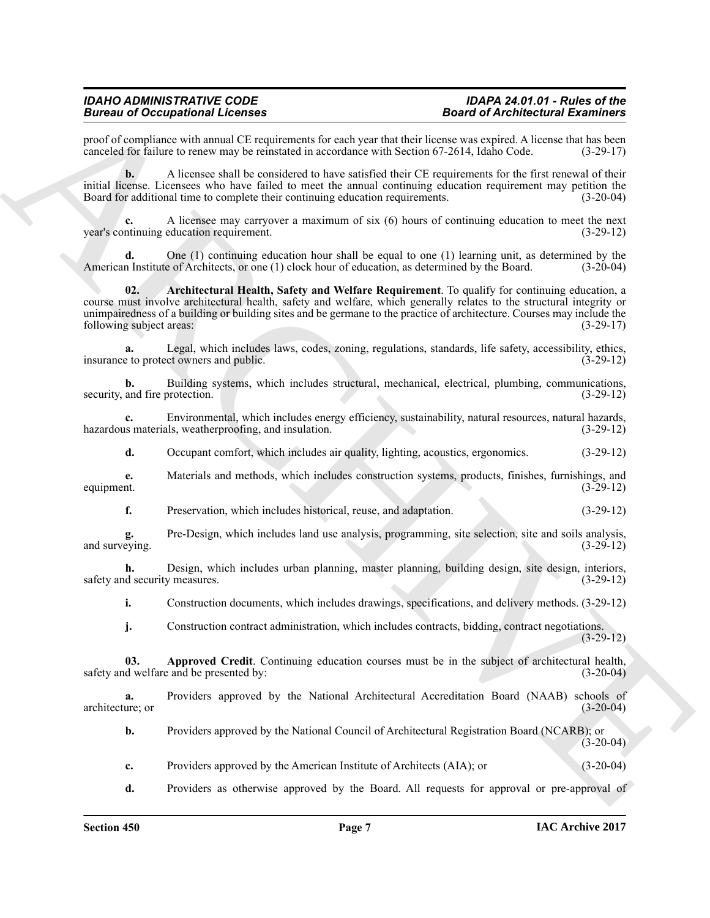proof of compliance with annual CE requirements for each year that their license was expired. A license that has been<br>canceled for failure to renew may be reinstated in accordance with Section 67-2614. Idaho Code. (3-29-17 canceled for failure to renew may be reinstated in accordance with Section 67-2614, Idaho Code.

**b.** A licensee shall be considered to have satisfied their CE requirements for the first renewal of their initial license. Licensees who have failed to meet the annual continuing education requirement may petition the Board for additional time to complete their continuing education requirements. (3-20-04)

A licensee may carryover a maximum of six (6) hours of continuing education to meet the next education requirement. (3-29-12) year's continuing education requirement.

<span id="page-6-1"></span>**d.** One (1) continuing education hour shall be equal to one (1) learning unit, as determined by the n Institute of Architects, or one (1) clock hour of education, as determined by the Board. (3-20-04) American Institute of Architects, or one (1) clock hour of education, as determined by the Board.

Brainward Technique and the spin state of Architectural Earth Control of the School of Architectural Earth Control of the School of Architectural Earth Control of the School of the School of the School of the School of th **02. Architectural Health, Safety and Welfare Requirement**. To qualify for continuing education, a course must involve architectural health, safety and welfare, which generally relates to the structural integrity or unimpairedness of a building or building sites and be germane to the practice of architecture. Courses may include the following subject areas: (3-29-17) following subject areas:

**a.** Legal, which includes laws, codes, zoning, regulations, standards, life safety, accessibility, ethics, et o protect owners and public.  $(3-29-12)$ insurance to protect owners and public.

**b.** Building systems, which includes structural, mechanical, electrical, plumbing, communications, and fire protection. (3-29-12) security, and fire protection.

**c.** Environmental, which includes energy efficiency, sustainability, natural resources, natural hazards, s materials, weatherproofing, and insulation. (3-29-12) hazardous materials, weatherproofing, and insulation.

**d.** Occupant comfort, which includes air quality, lighting, acoustics, ergonomics. (3-29-12)

**e.** Materials and methods, which includes construction systems, products, finishes, furnishings, and equipment.  $(3-29-12)$ equipment. (3-29-12)

**f.** Preservation, which includes historical, reuse, and adaptation. (3-29-12)

**g.** Pre-Design, which includes land use analysis, programming, site selection, site and soils analysis, and surveying.

**h.** Design, which includes urban planning, master planning, building design, site design, interiors, safety and security measures. (3-29-12) (3-29-12)

**i.** Construction documents, which includes drawings, specifications, and delivery methods. (3-29-12)

<span id="page-6-0"></span>**j.** Construction contract administration, which includes contracts, bidding, contract negotiations. (3-29-12)

**03. Approved Credit**. Continuing education courses must be in the subject of architectural health, d welfare and be presented by: (3-20-04) safety and welfare and be presented by:

**a.** Providers approved by the National Architectural Accreditation Board (NAAB) schools of architecture; or (3-20-04) architecture; or (3-20-04)

**b.** Providers approved by the National Council of Architectural Registration Board (NCARB); or  $(3-20-04)$ 

**c.** Providers approved by the American Institute of Architects (AIA); or (3-20-04)

**d.** Providers as otherwise approved by the Board. All requests for approval or pre-approval of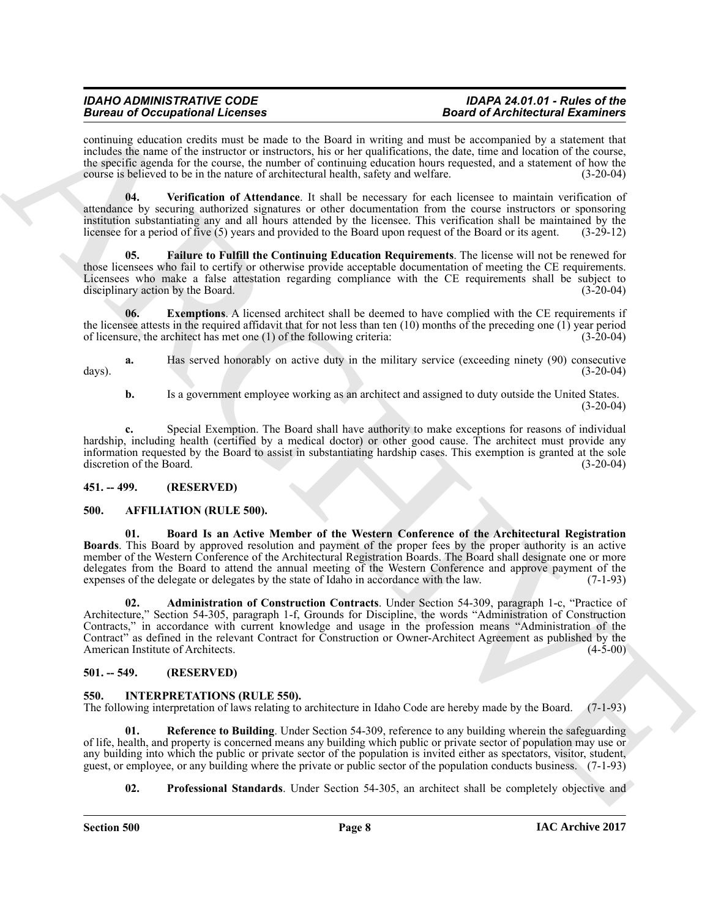continuing education credits must be made to the Board in writing and must be accompanied by a statement that includes the name of the instructor or instructors, his or her qualifications, the date, time and location of the course, the specific agenda for the course, the number of continuing education hours requested, and a statement of how the course is believed to be in the nature of architectural health, safety and welfare. (3-20-04)

<span id="page-7-9"></span>**04. Verification of Attendance**. It shall be necessary for each licensee to maintain verification of attendance by securing authorized signatures or other documentation from the course instructors or sponsoring institution substantiating any and all hours attended by the licensee. This verification shall be maintained by the licensee for a period of five (5) years and provided to the Board upon request of the Board or its agent. (3-29-12)

<span id="page-7-8"></span>**05. Failure to Fulfill the Continuing Education Requirements**. The license will not be renewed for those licensees who fail to certify or otherwise provide acceptable documentation of meeting the CE requirements. Licensees who make a false attestation regarding compliance with the CE requirements shall be subject to disciplinary action by the Board. (3-20-04) disciplinary action by the Board.

<span id="page-7-7"></span>**06.** Exemptions. A licensed architect shall be deemed to have complied with the CE requirements if the licensee attests in the required affidavit that for not less than ten (10) months of the preceding one (1) year period of licensure, the architect has met one (1) of the following criteria:  $(3-20-04)$ of licensure, the architect has met one  $(1)$  of the following criteria:

**a.** Has served honorably on active duty in the military service (exceeding ninety (90) consecutive (3-20-04) days). (3-20-04)

**b.** Is a government employee working as an architect and assigned to duty outside the United States.  $(3-20-04)$ 

**c.** Special Exemption. The Board shall have authority to make exceptions for reasons of individual hardship, including health (certified by a medical doctor) or other good cause. The architect must provide any information requested by the Board to assist in substantiating hardship cases. This exemption is granted at the sole discretion of the Board.

#### <span id="page-7-0"></span>**451. -- 499. (RESERVED)**

#### <span id="page-7-4"></span><span id="page-7-1"></span>**500. AFFILIATION (RULE 500).**

<span id="page-7-6"></span><span id="page-7-5"></span>**01. Board Is an Active Member of the Western Conference of the Architectural Registration Boards**. This Board by approved resolution and payment of the proper fees by the proper authority is an active member of the Western Conference of the Architectural Registration Boards. The Board shall designate one or more delegates from the Board to attend the annual meeting of the Western Conference and approve payment of the expenses of the delegate or delegates by the state of Idaho in accordance with the law. (7-1-93)

**Example 20** Cocapabilities and the short is the short in the short in the short of Architectical Example, the short is the short of Architectical Example 2018. The short is the short of the short of the short is the shor **02. Administration of Construction Contracts**. Under Section 54-309, paragraph 1-c, "Practice of Architecture," Section 54-305, paragraph 1-f, Grounds for Discipline, the words "Administration of Construction Contracts," in accordance with current knowledge and usage in the profession means "Administration of the Contract<sup>\*</sup> as defined in the relevant Contract for Construction or Owner-Architect Agreement as published by the American Institute of Architects. (4-5-00) American Institute of Architects.

#### <span id="page-7-2"></span>**501. -- 549. (RESERVED)**

### <span id="page-7-10"></span><span id="page-7-3"></span>**550. INTERPRETATIONS (RULE 550).**

The following interpretation of laws relating to architecture in Idaho Code are hereby made by the Board. (7-1-93)

**Reference to Building**. Under Section 54-309, reference to any building wherein the safeguarding of life, health, and property is concerned means any building which public or private sector of population may use or any building into which the public or private sector of the population is invited either as spectators, visitor, student, guest, or employee, or any building where the private or public sector of the population conducts business. (7-1-93)

<span id="page-7-12"></span><span id="page-7-11"></span>**02. Professional Standards**. Under Section 54-305, an architect shall be completely objective and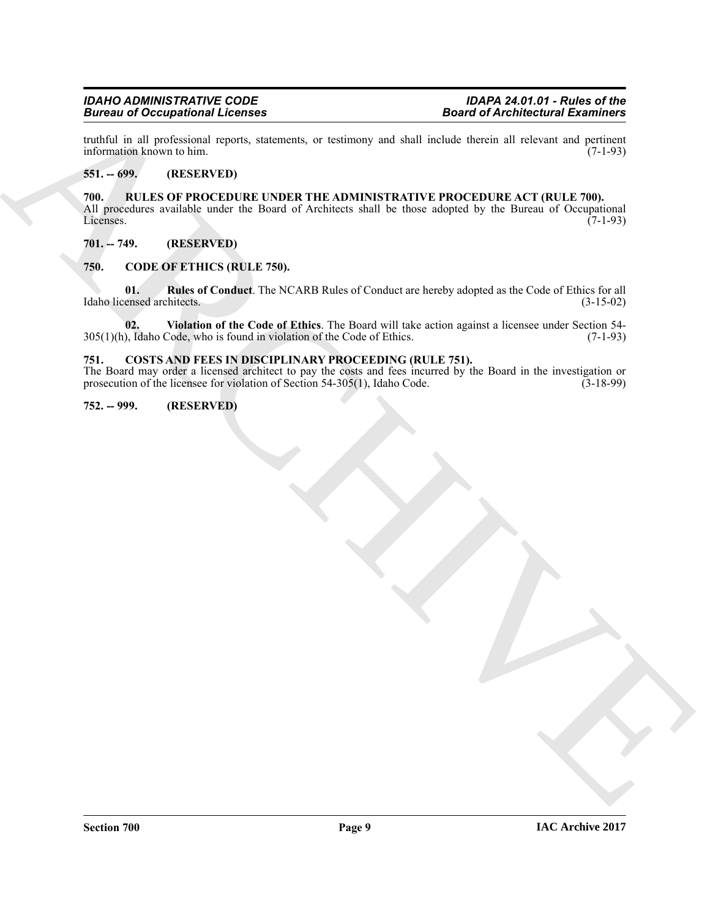truthful in all professional reports, statements, or testimony and shall include therein all relevant and pertinent information known to him.

#### <span id="page-8-1"></span><span id="page-8-0"></span>**551. -- 699. (RESERVED)**

**Example 20 Completion 21. Control is the control of Architectural Examines and Architectural Examines and the control of Architectural Control in the control of Architectural control of Architectural Control in the contr 700. RULES OF PROCEDURE UNDER THE ADMINISTRATIVE PROCEDURE ACT (RULE 700).** All procedures available under the Board of Architects shall be those adopted by the Bureau of Occupational Licenses. (7-1-93) Licenses. (7-1-93)

#### <span id="page-8-2"></span>**701. -- 749. (RESERVED)**

#### <span id="page-8-6"></span><span id="page-8-3"></span>**750. CODE OF ETHICS (RULE 750).**

<span id="page-8-7"></span>**01. Rules of Conduct**. The NCARB Rules of Conduct are hereby adopted as the Code of Ethics for all Idaho licensed architects. (3-15-02)

<span id="page-8-8"></span>**02. Violation of the Code of Ethics**. The Board will take action against a licensee under Section 54-  $305(1)(h)$ , Idaho Code, who is found in violation of the Code of Ethics.

#### <span id="page-8-9"></span><span id="page-8-4"></span>**751. COSTS AND FEES IN DISCIPLINARY PROCEEDING (RULE 751).**

The Board may order a licensed architect to pay the costs and fees incurred by the Board in the investigation or prosecution of the licensee for violation of Section 54-305(1), Idaho Code. (3-18-99) prosecution of the licensee for violation of Section  $54-305(1)$ , Idaho Code.

#### <span id="page-8-5"></span>**752. -- 999. (RESERVED)**